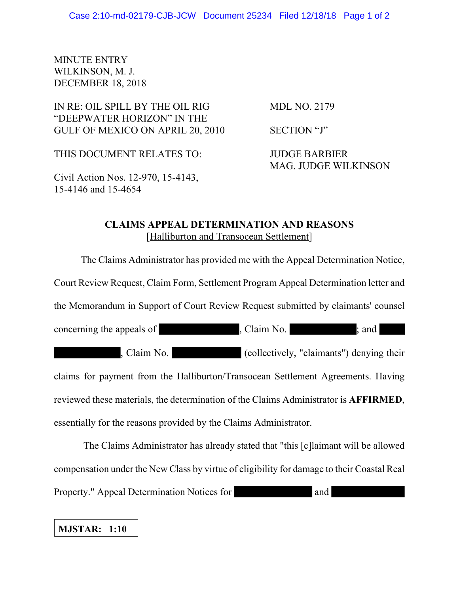#### MINUTE ENTRY WILKINSON, M. J. DECEMBER 18, 2018

## IN RE: OIL SPILL BY THE OIL RIG MDL NO. 2179 "DEEPWATER HORIZON" IN THE GULF OF MEXICO ON APRIL 20, 2010 SECTION "J"

THIS DOCUMENT RELATES TO: JUDGE BARBIER

MAG. JUDGE WILKINSON

Civil Action Nos. 12-970, 15-4143, 15-4146 and 15-4654

### **CLAIMS APPEAL DETERMINATION AND REASONS** [Halliburton and Transocean Settlement]

The Claims Administrator has provided me with the Appeal Determination Notice, Court Review Request, Claim Form, Settlement Program Appeal Determination letter and the Memorandum in Support of Court Review Request submitted by claimants' counsel concerning the appeals of , Claim No.  $\Box$  , Claim No. , Claim No. (collectively, "claimants") denying their claims for payment from the Halliburton/Transocean Settlement Agreements. Having reviewed these materials, the determination of the Claims Administrator is **AFFIRMED**, essentially for the reasons provided by the Claims Administrator.

 The Claims Administrator has already stated that "this [c]laimant will be allowed compensation under the New Class by virtue of eligibility for damage to their Coastal Real Property." Appeal Determination Notices for and

# **MJSTAR: 1:10**